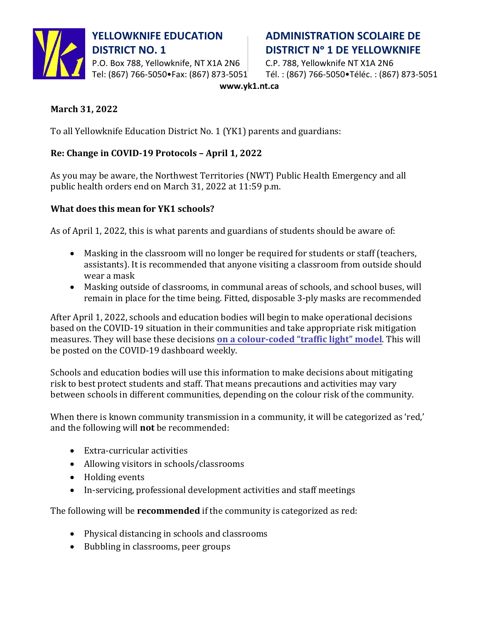

P.O. Box 788, Yellowknife, NT X1A 2N6 C.P. 788, Yellowknife NT X1A 2N6

# **YELLOWKNIFE EDUCATION ADMINISTRATION SCOLAIRE DE DISTRICT NO. 1 DISTRICT N° 1 DE YELLOWKNIFE**

Tel: (867) 766-5050•Fax: (867) 873-5051 Tél. : (867) 766-5050•Téléc. : (867) 873-5051

**www.yk1.nt.ca**

## **March 31, 2022**

To all Yellowknife Education District No. 1 (YK1) parents and guardians:

## **Re: Change in COVID-19 Protocols – April 1, 2022**

As you may be aware, the Northwest Territories (NWT) Public Health Emergency and all public health orders end on March 31, 2022 at 11:59 p.m.

### **What does this mean for YK1 schools?**

As of April 1, 2022, this is what parents and guardians of students should be aware of:

- Masking in the classroom will no longer be required for students or staff (teachers, assistants). It is recommended that anyone visiting a classroom from outside should wear a mask
- Masking outside of classrooms, in communal areas of schools, and school buses, will remain in place for the time being. Fitted, disposable 3-ply masks are recommended

After April 1, 2022, schools and education bodies will begin to make operational decisions based on the COVID-19 situation in their communities and take appropriate risk mitigation measures. They will base these decisions **[on a colour-coded "traffic light" model](https://www.hss.gov.nt.ca/en/newsroom/covid-19-dashboard-changes-take-effect-april-4-2022)**. This will be posted on the COVID-19 dashboard weekly.

Schools and education bodies will use this information to make decisions about mitigating risk to best protect students and staff. That means precautions and activities may vary between schools in different communities, depending on the colour risk of the community.

When there is known community transmission in a community, it will be categorized as 'red,' and the following will **not** be recommended:

- Extra-curricular activities
- Allowing visitors in schools/classrooms
- Holding events
- In-servicing, professional development activities and staff meetings

The following will be **recommended** if the community is categorized as red:

- Physical distancing in schools and classrooms
- Bubbling in classrooms, peer groups